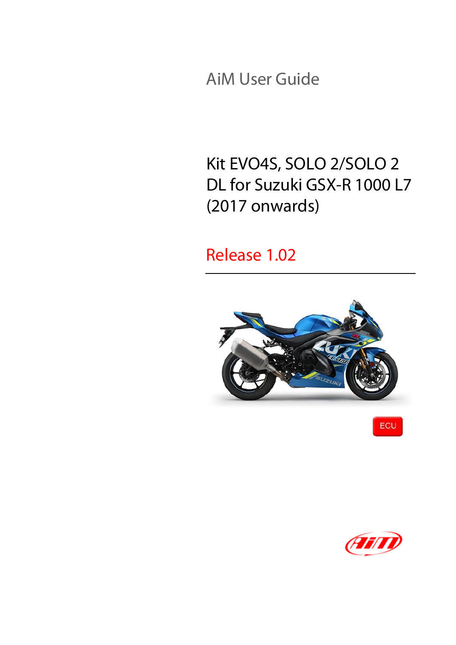AiM User Guide

## Kit EVO4S, SOLO 2/SOLO 2 DL for Suzuki GSX-R 1000 L7 (2017 onwards)

#### Release 1.02





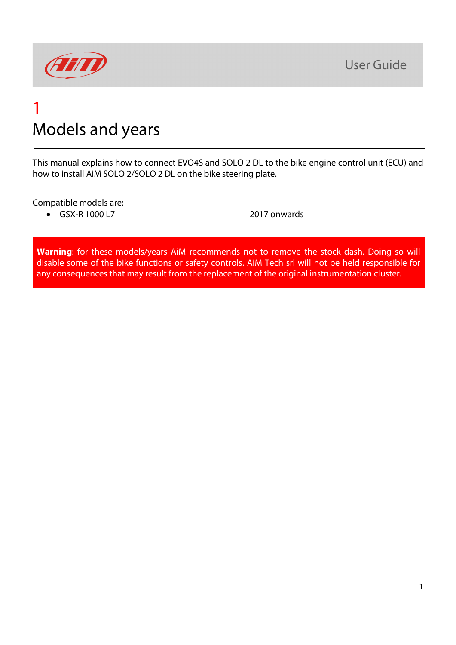

#### 1 Models and years

This manual explains how to connect EVO4S and SOLO 2 DL to the bike engine control unit (ECU) and how to install AiM SOLO 2/SOLO 2 DL on the bike steering plate.

Compatible models are:

• GSX-R 1000 L7 2017 onwards

**Warning**: for these models/years AiM recommends not to remove the stock dash. Doing so will disable some of the bike functions or safety controls. AiM Tech srl will not be held responsible for any consequences that may result from the replacement of the original instrumentation cluster.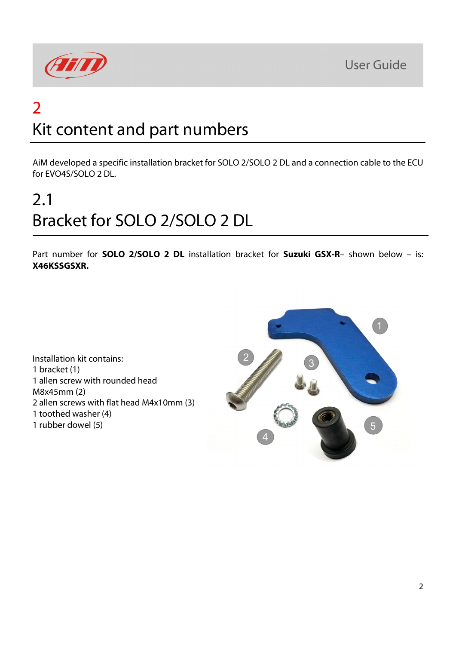**User Guide** 



# 2 Kit content and part numbers

AiM developed a specific installation bracket for SOLO 2/SOLO 2 DL and a connection cable to the ECU for EVO4S/SOLO 2 DL.

# 2.1 Bracket for SOLO 2/SOLO 2 DL

Part number for **SOLO 2/SOLO 2 DL** installation bracket for **Suzuki GSX-R**– shown below – is: **X46KSSGSXR.**

Installation kit contains: 1 bracket (1) 1 allen screw with rounded head M8x45mm (2) 2 allen screws with flat head M4x10mm (3) 1 toothed washer (4) 1 rubber dowel (5)

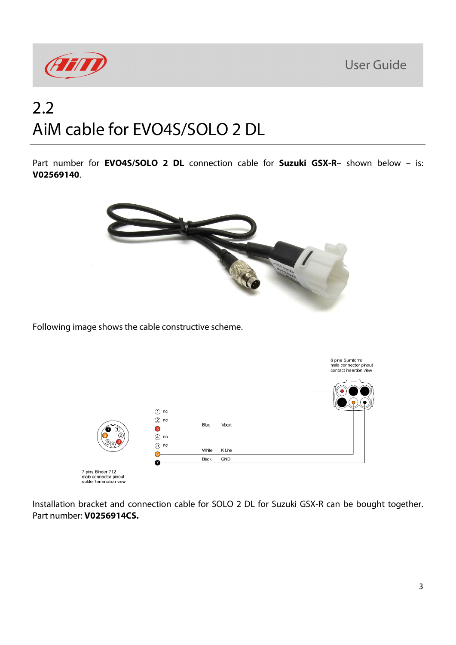**User Guide** 



## 2.2 AiM cable for EVO4S/SOLO 2 DL

Part number for **EVO4S/SOLO 2 DL** connection cable for **Suzuki GSX-R**– shown below – is: **V02569140**.



Following image shows the cable constructive scheme.



Installation bracket and connection cable for SOLO 2 DL for Suzuki GSX-R can be bought together. Part number: **V0256914CS.**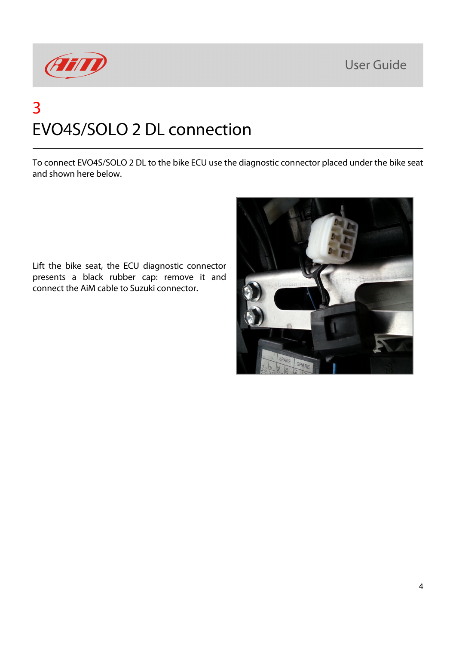**User Guide** 



# 3 EVO4S/SOLO 2 DL connection

To connect EVO4S/SOLO 2 DL to the bike ECU use the diagnostic connector placed under the bike seat and shown here below.

Lift the bike seat, the ECU diagnostic connector presents a black rubber cap: remove it and connect the AiM cable to Suzuki connector.

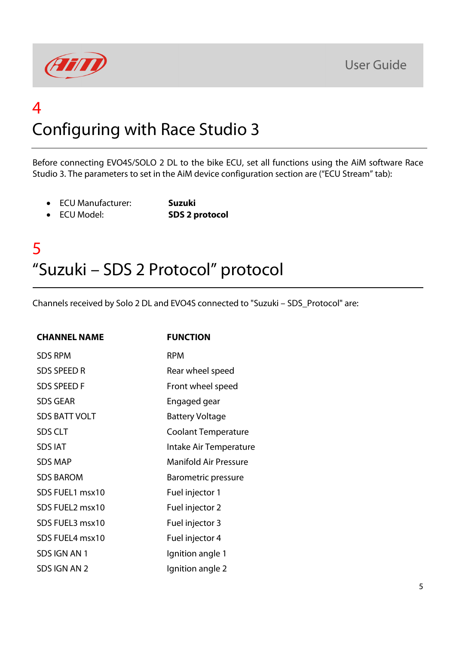



## 4 Configuring with Race Studio 3

Before connecting EVO4S/SOLO 2 DL to the bike ECU, set all functions using the AiM software Race Studio 3. The parameters to set in the AiM device configuration section are ("ECU Stream" tab):

- ECU Manufacturer: **Suzuki**
	-
- ECU Model: **SDS 2 protocol**

#### 5 "Suzuki – SDS 2 Protocol" protocol

Channels received by Solo 2 DL and EVO4S connected to "Suzuki – SDS\_Protocol" are:

| <b>CHANNEL NAME</b>  | <b>FUNCTION</b>              |
|----------------------|------------------------------|
| <b>SDS RPM</b>       | <b>RPM</b>                   |
| <b>SDS SPEED R</b>   | Rear wheel speed             |
| <b>SDS SPEED F</b>   | Front wheel speed            |
| <b>SDS GEAR</b>      | Engaged gear                 |
| <b>SDS BATT VOLT</b> | <b>Battery Voltage</b>       |
| <b>SDS CLT</b>       | <b>Coolant Temperature</b>   |
| <b>SDS IAT</b>       | Intake Air Temperature       |
| <b>SDS MAP</b>       | <b>Manifold Air Pressure</b> |
| <b>SDS BAROM</b>     | <b>Barometric pressure</b>   |
| SDS FUEL1 msx10      | Fuel injector 1              |
| SDS FUEL2 msx10      | Fuel injector 2              |
| SDS FUEL3 msx10      | Fuel injector 3              |
| SDS FUEL4 msx10      | Fuel injector 4              |
| SDS IGN AN 1         | Ignition angle 1             |
| SDS IGN AN 2         | Ignition angle 2             |